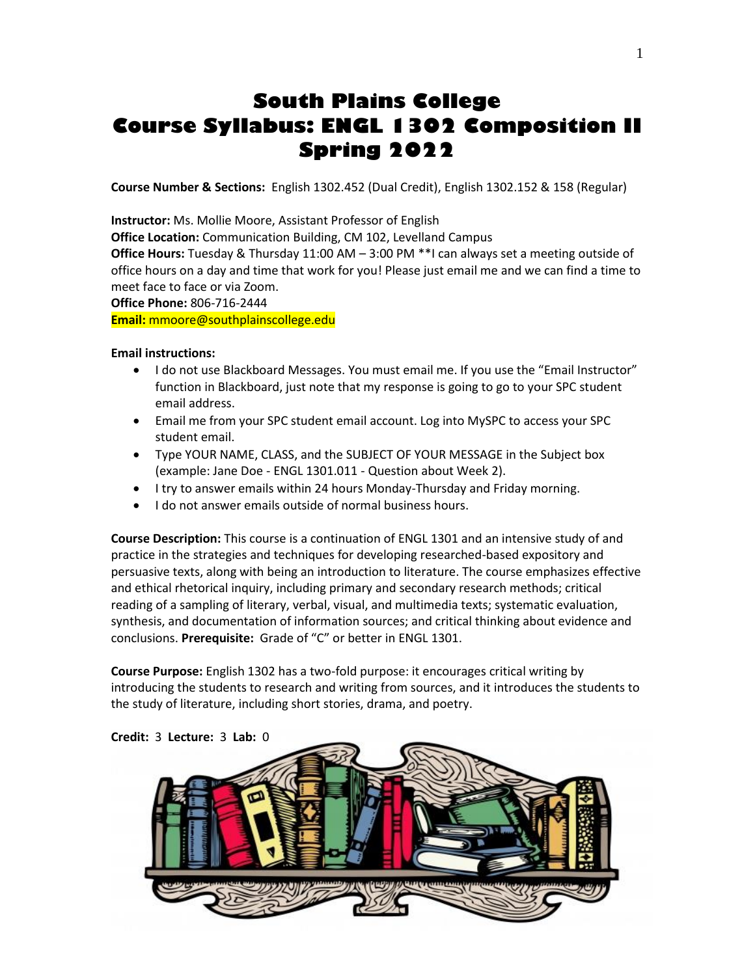# **South Plains College Course Syllabus: ENGL 1302 Composition II Spring 2022**

**Course Number & Sections:** English 1302.452 (Dual Credit), English 1302.152 & 158 (Regular)

**Instructor:** Ms. Mollie Moore, Assistant Professor of English

**Office Location:** Communication Building, CM 102, Levelland Campus

**Office Hours:** Tuesday & Thursday 11:00 AM – 3:00 PM \*\*I can always set a meeting outside of office hours on a day and time that work for you! Please just email me and we can find a time to meet face to face or via Zoom.

**Office Phone:** 806-716-2444

**Email:** mmoore@southplainscollege.edu

#### **Email instructions:**

- I do not use Blackboard Messages. You must email me. If you use the "Email Instructor" function in Blackboard, just note that my response is going to go to your SPC student email address.
- Email me from your SPC student email account. Log into MySPC to access your SPC student email.
- Type YOUR NAME, CLASS, and the SUBJECT OF YOUR MESSAGE in the Subject box (example: Jane Doe - ENGL 1301.011 - Question about Week 2).
- I try to answer emails within 24 hours Monday-Thursday and Friday morning.
- I do not answer emails outside of normal business hours.

**Course Description:** This course is a continuation of ENGL 1301 and an intensive study of and practice in the strategies and techniques for developing researched-based expository and persuasive texts, along with being an introduction to literature. The course emphasizes effective and ethical rhetorical inquiry, including primary and secondary research methods; critical reading of a sampling of literary, verbal, visual, and multimedia texts; systematic evaluation, synthesis, and documentation of information sources; and critical thinking about evidence and conclusions. **Prerequisite:** Grade of "C" or better in ENGL 1301.

**Course Purpose:** English 1302 has a two-fold purpose: it encourages critical writing by introducing the students to research and writing from sources, and it introduces the students to the study of literature, including short stories, drama, and poetry.

**Credit:** 3 **Lecture:** 3 **Lab:** 0

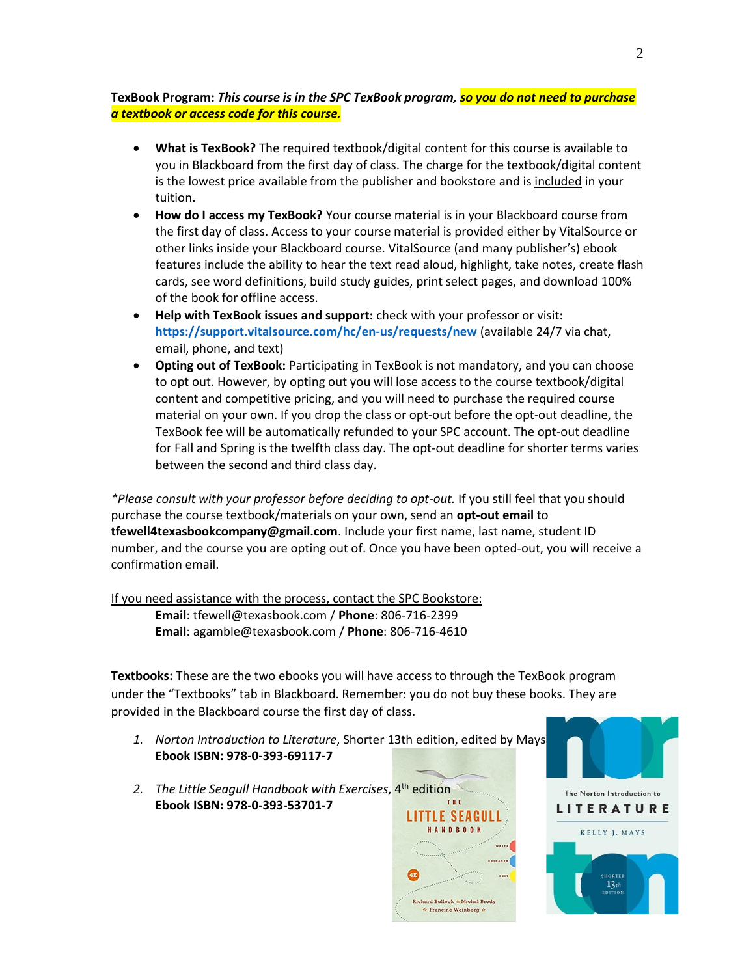## **TexBook Program:** *This course is in the SPC TexBook program, so you do not need to purchase a textbook or access code for this course.*

- **What is TexBook?** The required textbook/digital content for this course is available to you in Blackboard from the first day of class. The charge for the textbook/digital content is the lowest price available from the publisher and bookstore and is included in your tuition.
- **How do I access my TexBook?** Your course material is in your Blackboard course from the first day of class. Access to your course material is provided either by VitalSource or other links inside your Blackboard course. VitalSource (and many publisher's) ebook features include the ability to hear the text read aloud, highlight, take notes, create flash cards, see word definitions, build study guides, print select pages, and download 100% of the book for offline access.
- **Help with TexBook issues and support:** check with your professor or visit**: <https://support.vitalsource.com/hc/en-us/requests/new>** (available 24/7 via chat, email, phone, and text)
- **Opting out of TexBook:** Participating in TexBook is not mandatory, and you can choose to opt out. However, by opting out you will lose access to the course textbook/digital content and competitive pricing, and you will need to purchase the required course material on your own. If you drop the class or opt-out before the opt-out deadline, the TexBook fee will be automatically refunded to your SPC account. The opt-out deadline for Fall and Spring is the twelfth class day. The opt-out deadline for shorter terms varies between the second and third class day.

*\*Please consult with your professor before deciding to opt-out.* If you still feel that you should purchase the course textbook/materials on your own, send an **opt-out email** to **tfewell4texasbookcompany@gmail.com**. Include your first name, last name, student ID number, and the course you are opting out of. Once you have been opted-out, you will receive a confirmation email.

If you need assistance with the process, contact the SPC Bookstore: **Email**: tfewell@texasbook.com / **Phone**: 806-716-2399 **Email**: agamble@texasbook.com / **Phone**: 806-716-4610

**Textbooks:** These are the two ebooks you will have access to through the TexBook program under the "Textbooks" tab in Blackboard. Remember: you do not buy these books. They are provided in the Blackboard course the first day of class.

- *1. Norton Introduction to Literature*, Shorter 13th edition, edited by Mays **Ebook ISBN: 978-0-393-69117-7**
- *2. The Little Seagull Handbook with Exercises*, 4th edition **Ebook ISBN: 978-0-393-53701-7**



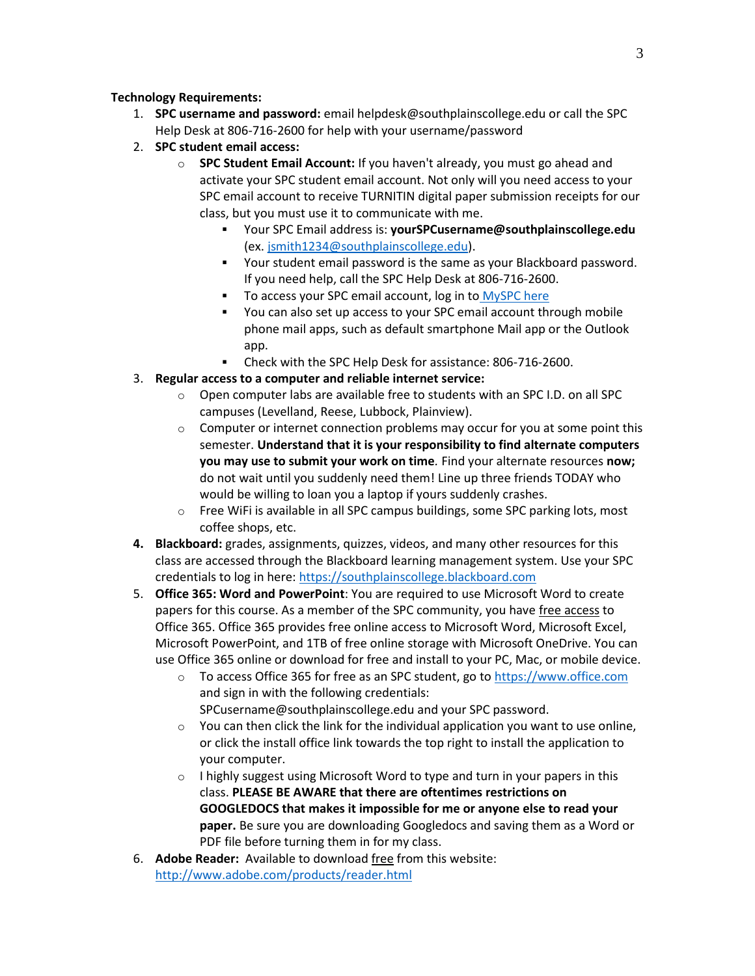## **Technology Requirements:**

- 1. **SPC username and password:** email helpdesk@southplainscollege.edu or call the SPC Help Desk at 806-716-2600 for help with your username/password
- 2. **SPC student email access:**
	- o **SPC Student Email Account:** If you haven't already, you must go ahead and activate your SPC student email account. Not only will you need access to your SPC email account to receive TURNITIN digital paper submission receipts for our class, but you must use it to communicate with me.
		- Your SPC Email address is: **yourSPCusername@southplainscollege.edu** (ex. [jsmith1234@southplainscollege.edu\)](mailto:jsmith1234@southplainscollege.edu).
		- Your student email password is the same as your Blackboard password. If you need help, call the SPC Help Desk at 806-716-2600.
		- To access your SPC email account, log in to [MySPC here](https://fs.southplainscollege.edu/adfs/ls?wa=wsignin1.0&wtrealm=urn%3aportal.southplainscollege.edu%3a443&wctx=https%3a%2f%2fportal.southplainscollege.edu%2f_layouts%2f15%2fAuthenticate.aspx%3fSource%3d%252F&wreply=https%3a%2f%2fportal.southplainscollege.edu%2f_trust%2fdefault.aspx)
		- You can also set up access to your SPC email account through mobile phone mail apps, such as default smartphone Mail app or the Outlook app.
		- Check with the SPC Help Desk for assistance: 806-716-2600.
- 3. **Regular access to a computer and reliable internet service:**
	- $\circ$  Open computer labs are available free to students with an SPC I.D. on all SPC campuses (Levelland, Reese, Lubbock, Plainview).
	- $\circ$  Computer or internet connection problems may occur for you at some point this semester. **Understand that it is your responsibility to find alternate computers you may use to submit your work on time***.* Find your alternate resources **now;** do not wait until you suddenly need them! Line up three friends TODAY who would be willing to loan you a laptop if yours suddenly crashes.
	- o Free WiFi is available in all SPC campus buildings, some SPC parking lots, most coffee shops, etc.
- **4. Blackboard:** grades, assignments, quizzes, videos, and many other resources for this class are accessed through the Blackboard learning management system. Use your SPC credentials to log in here[: https://southplainscollege.blackboard.com](https://southplainscollege.blackboard.com/)
- 5. **Office 365: Word and PowerPoint**: You are required to use Microsoft Word to create papers for this course. As a member of the SPC community, you have free access to Office 365. Office 365 provides free online access to Microsoft Word, Microsoft Excel, Microsoft PowerPoint, and 1TB of free online storage with Microsoft OneDrive. You can use Office 365 online or download for free and install to your PC, Mac, or mobile device.
	- o To access Office 365 for free as an SPC student, go to [https://www.office.com](https://www.office.com/) and sign in with the following credentials: SPCusername@southplainscollege.edu and your SPC password.
	- o You can then click the link for the individual application you want to use online, or click the install office link towards the top right to install the application to your computer.
	- $\circ$  I highly suggest using Microsoft Word to type and turn in your papers in this class. **PLEASE BE AWARE that there are oftentimes restrictions on GOOGLEDOCS that makes it impossible for me or anyone else to read your paper.** Be sure you are downloading Googledocs and saving them as a Word or PDF file before turning them in for my class.
- 6. **Adobe Reader:** Available to download free from this website: <http://www.adobe.com/products/reader.html>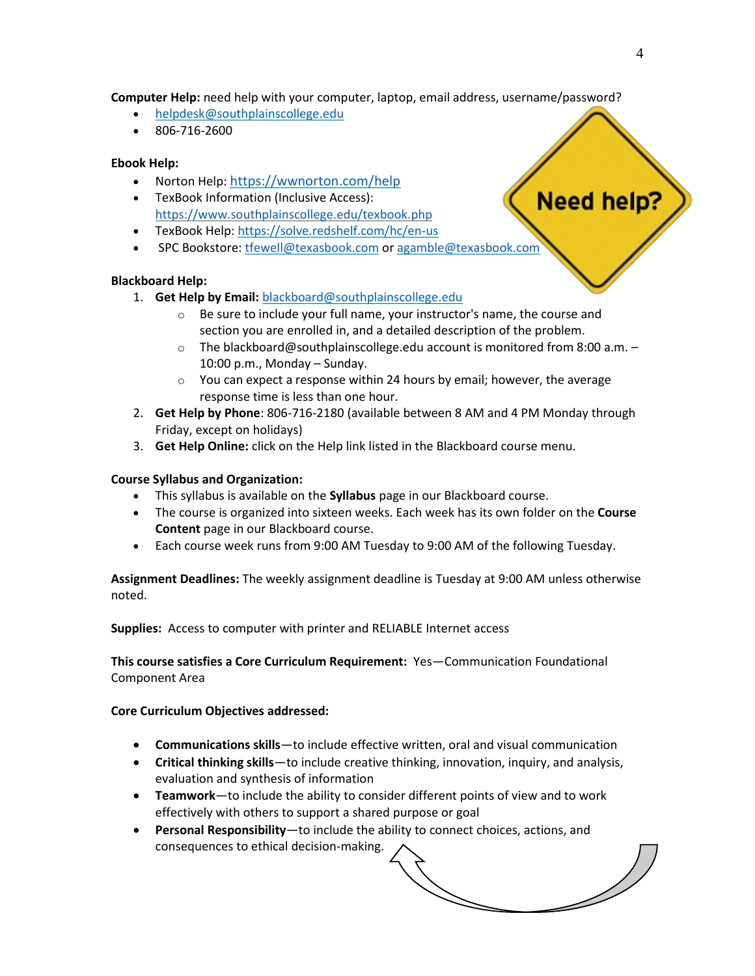**Computer Help:** need help with your computer, laptop, email address, username/password?

- [helpdesk@southplainscollege.edu](mailto:helpdesk@southplainscollege.edu)
- 806-716-2600

#### **Ebook Help:**

- Norton Help: <https://wwnorton.com/help>
- TexBook Information (Inclusive Access): <https://www.southplainscollege.edu/texbook.php>
- TexBook Help[: https://solve.redshelf.com/hc/en-us](https://solve.redshelf.com/hc/en-us)
- SPC Bookstore[: tfewell@texasbook.com](mailto:tfewell@texasbook.com) or [agamble@texasbook.com](mailto:agamble@texasbook.com)

#### **Blackboard Help:**

- 1. **Get Help by Email:** [blackboard@southplainscollege.edu](mailto:blackboard@southplainscollege.edu)
	- o Be sure to include your full name, your instructor's name, the course and section you are enrolled in, and a detailed description of the problem.
	- $\circ$  The blackboard@southplainscollege.edu account is monitored from 8:00 a.m. 10:00 p.m., Monday – Sunday.
	- $\circ$  You can expect a response within 24 hours by email; however, the average response time is less than one hour.
- 2. **Get Help by Phone**: 806-716-2180 (available between 8 AM and 4 PM Monday through Friday, except on holidays)
- 3. **Get Help Online:** click on the Help link listed in the Blackboard course menu.

#### **Course Syllabus and Organization:**

- This syllabus is available on the **Syllabus** page in our Blackboard course.
- The course is organized into sixteen weeks. Each week has its own folder on the **Course Content** page in our Blackboard course.
- Each course week runs from 9:00 AM Tuesday to 9:00 AM of the following Tuesday.

**Assignment Deadlines:** The weekly assignment deadline is Tuesday at 9:00 AM unless otherwise noted.

**Supplies:** Access to computer with printer and RELIABLE Internet access

**This course satisfies a Core Curriculum Requirement:** Yes—Communication Foundational Component Area

#### **Core Curriculum Objectives addressed:**

- **Communications skills**—to include effective written, oral and visual communication
- **Critical thinking skills**—to include creative thinking, innovation, inquiry, and analysis, evaluation and synthesis of information
- **Teamwork**—to include the ability to consider different points of view and to work effectively with others to support a shared purpose or goal
- **Personal Responsibility**—to include the ability to connect choices, actions, and consequences to ethical decision-making.

Need help?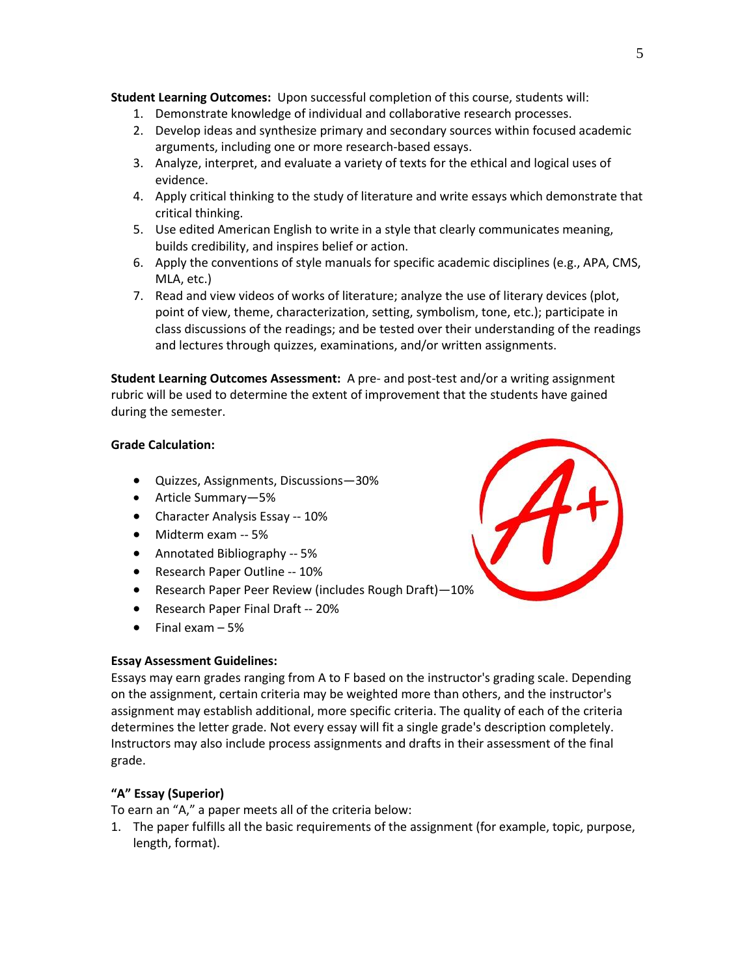**Student Learning Outcomes:** Upon successful completion of this course, students will:

- 1. Demonstrate knowledge of individual and collaborative research processes.
- 2. Develop ideas and synthesize primary and secondary sources within focused academic arguments, including one or more research-based essays.
- 3. Analyze, interpret, and evaluate a variety of texts for the ethical and logical uses of evidence.
- 4. Apply critical thinking to the study of literature and write essays which demonstrate that critical thinking.
- 5. Use edited American English to write in a style that clearly communicates meaning, builds credibility, and inspires belief or action.
- 6. Apply the conventions of style manuals for specific academic disciplines (e.g., APA, CMS, MLA, etc.)
- 7. Read and view videos of works of literature; analyze the use of literary devices (plot, point of view, theme, characterization, setting, symbolism, tone, etc.); participate in class discussions of the readings; and be tested over their understanding of the readings and lectures through quizzes, examinations, and/or written assignments.

**Student Learning Outcomes Assessment:** A pre- and post-test and/or a writing assignment rubric will be used to determine the extent of improvement that the students have gained during the semester.

# **Grade Calculation:**

- Quizzes, Assignments, Discussions—30%
- Article Summary—5%
- Character Analysis Essay -- 10%
- Midterm exam -- 5%
- Annotated Bibliography -- 5%
- Research Paper Outline -- 10%
- Research Paper Peer Review (includes Rough Draft)—10%
- Research Paper Final Draft -- 20%
- Final exam  $-5%$

## **Essay Assessment Guidelines:**

Essays may earn grades ranging from A to F based on the instructor's grading scale. Depending on the assignment, certain criteria may be weighted more than others, and the instructor's assignment may establish additional, more specific criteria. The quality of each of the criteria determines the letter grade. Not every essay will fit a single grade's description completely. Instructors may also include process assignments and drafts in their assessment of the final grade.

# **"A" Essay (Superior)**

To earn an "A," a paper meets all of the criteria below:

1. The paper fulfills all the basic requirements of the assignment (for example, topic, purpose, length, format).

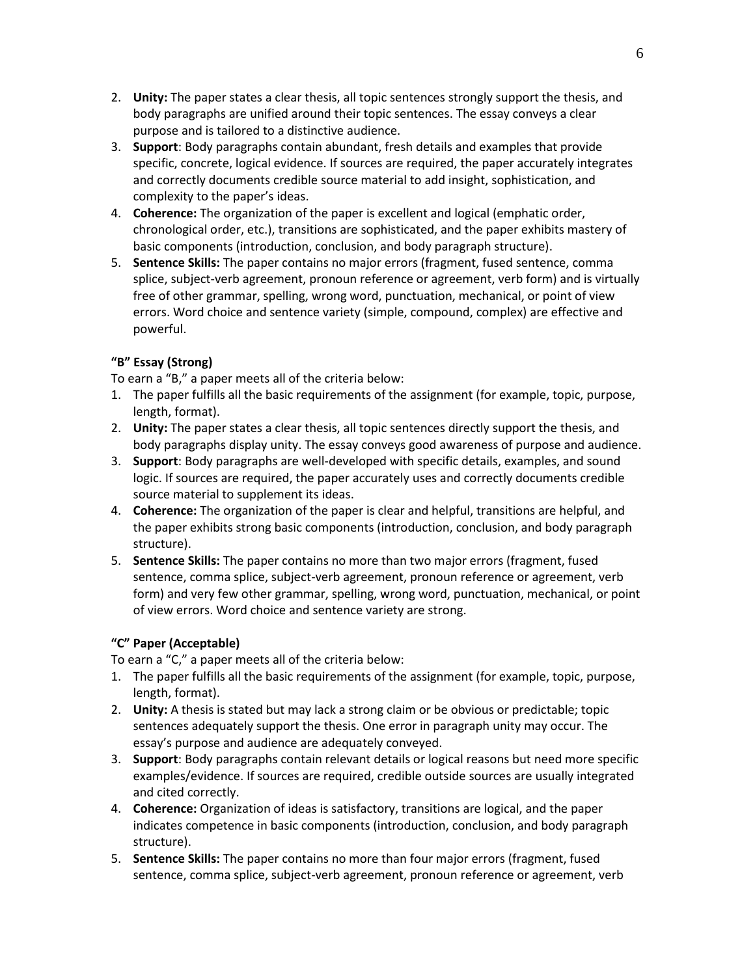- 2. **Unity:** The paper states a clear thesis, all topic sentences strongly support the thesis, and body paragraphs are unified around their topic sentences. The essay conveys a clear purpose and is tailored to a distinctive audience.
- 3. **Support**: Body paragraphs contain abundant, fresh details and examples that provide specific, concrete, logical evidence. If sources are required, the paper accurately integrates and correctly documents credible source material to add insight, sophistication, and complexity to the paper's ideas.
- 4. **Coherence:** The organization of the paper is excellent and logical (emphatic order, chronological order, etc.), transitions are sophisticated, and the paper exhibits mastery of basic components (introduction, conclusion, and body paragraph structure).
- 5. **Sentence Skills:** The paper contains no major errors (fragment, fused sentence, comma splice, subject-verb agreement, pronoun reference or agreement, verb form) and is virtually free of other grammar, spelling, wrong word, punctuation, mechanical, or point of view errors. Word choice and sentence variety (simple, compound, complex) are effective and powerful.

# **"B" Essay (Strong)**

To earn a "B," a paper meets all of the criteria below:

- 1. The paper fulfills all the basic requirements of the assignment (for example, topic, purpose, length, format).
- 2. **Unity:** The paper states a clear thesis, all topic sentences directly support the thesis, and body paragraphs display unity. The essay conveys good awareness of purpose and audience.
- 3. **Support**: Body paragraphs are well-developed with specific details, examples, and sound logic. If sources are required, the paper accurately uses and correctly documents credible source material to supplement its ideas.
- 4. **Coherence:** The organization of the paper is clear and helpful, transitions are helpful, and the paper exhibits strong basic components (introduction, conclusion, and body paragraph structure).
- 5. **Sentence Skills:** The paper contains no more than two major errors (fragment, fused sentence, comma splice, subject-verb agreement, pronoun reference or agreement, verb form) and very few other grammar, spelling, wrong word, punctuation, mechanical, or point of view errors. Word choice and sentence variety are strong.

# **"C" Paper (Acceptable)**

To earn a "C," a paper meets all of the criteria below:

- 1. The paper fulfills all the basic requirements of the assignment (for example, topic, purpose, length, format).
- 2. **Unity:** A thesis is stated but may lack a strong claim or be obvious or predictable; topic sentences adequately support the thesis. One error in paragraph unity may occur. The essay's purpose and audience are adequately conveyed.
- 3. **Support**: Body paragraphs contain relevant details or logical reasons but need more specific examples/evidence. If sources are required, credible outside sources are usually integrated and cited correctly.
- 4. **Coherence:** Organization of ideas is satisfactory, transitions are logical, and the paper indicates competence in basic components (introduction, conclusion, and body paragraph structure).
- 5. **Sentence Skills:** The paper contains no more than four major errors (fragment, fused sentence, comma splice, subject-verb agreement, pronoun reference or agreement, verb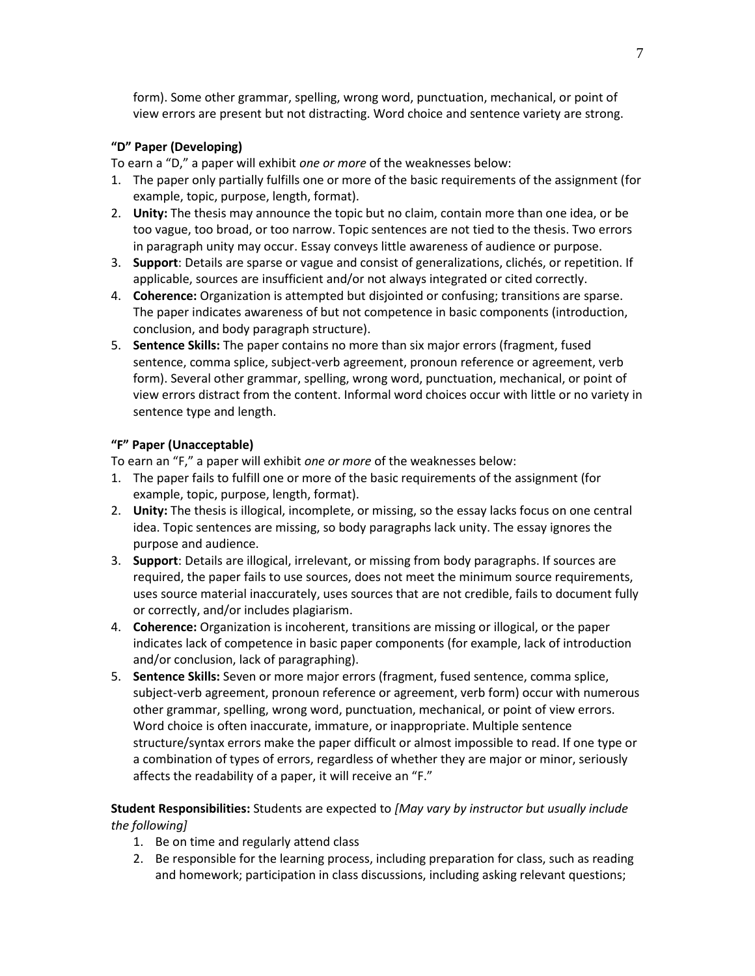form). Some other grammar, spelling, wrong word, punctuation, mechanical, or point of view errors are present but not distracting. Word choice and sentence variety are strong.

## **"D" Paper (Developing)**

To earn a "D," a paper will exhibit *one or more* of the weaknesses below:

- 1. The paper only partially fulfills one or more of the basic requirements of the assignment (for example, topic, purpose, length, format).
- 2. **Unity:** The thesis may announce the topic but no claim, contain more than one idea, or be too vague, too broad, or too narrow. Topic sentences are not tied to the thesis. Two errors in paragraph unity may occur. Essay conveys little awareness of audience or purpose.
- 3. **Support**: Details are sparse or vague and consist of generalizations, clichés, or repetition. If applicable, sources are insufficient and/or not always integrated or cited correctly.
- 4. **Coherence:** Organization is attempted but disjointed or confusing; transitions are sparse. The paper indicates awareness of but not competence in basic components (introduction, conclusion, and body paragraph structure).
- 5. **Sentence Skills:** The paper contains no more than six major errors (fragment, fused sentence, comma splice, subject-verb agreement, pronoun reference or agreement, verb form). Several other grammar, spelling, wrong word, punctuation, mechanical, or point of view errors distract from the content. Informal word choices occur with little or no variety in sentence type and length.

# **"F" Paper (Unacceptable)**

To earn an "F," a paper will exhibit *one or more* of the weaknesses below:

- 1. The paper fails to fulfill one or more of the basic requirements of the assignment (for example, topic, purpose, length, format).
- 2. **Unity:** The thesis is illogical, incomplete, or missing, so the essay lacks focus on one central idea. Topic sentences are missing, so body paragraphs lack unity. The essay ignores the purpose and audience.
- 3. **Support**: Details are illogical, irrelevant, or missing from body paragraphs. If sources are required, the paper fails to use sources, does not meet the minimum source requirements, uses source material inaccurately, uses sources that are not credible, fails to document fully or correctly, and/or includes plagiarism.
- 4. **Coherence:** Organization is incoherent, transitions are missing or illogical, or the paper indicates lack of competence in basic paper components (for example, lack of introduction and/or conclusion, lack of paragraphing).
- 5. **Sentence Skills:** Seven or more major errors (fragment, fused sentence, comma splice, subject-verb agreement, pronoun reference or agreement, verb form) occur with numerous other grammar, spelling, wrong word, punctuation, mechanical, or point of view errors. Word choice is often inaccurate, immature, or inappropriate. Multiple sentence structure/syntax errors make the paper difficult or almost impossible to read. If one type or a combination of types of errors, regardless of whether they are major or minor, seriously affects the readability of a paper, it will receive an "F."

**Student Responsibilities:** Students are expected to *[May vary by instructor but usually include the following]*

- 1. Be on time and regularly attend class
- 2. Be responsible for the learning process, including preparation for class, such as reading and homework; participation in class discussions, including asking relevant questions;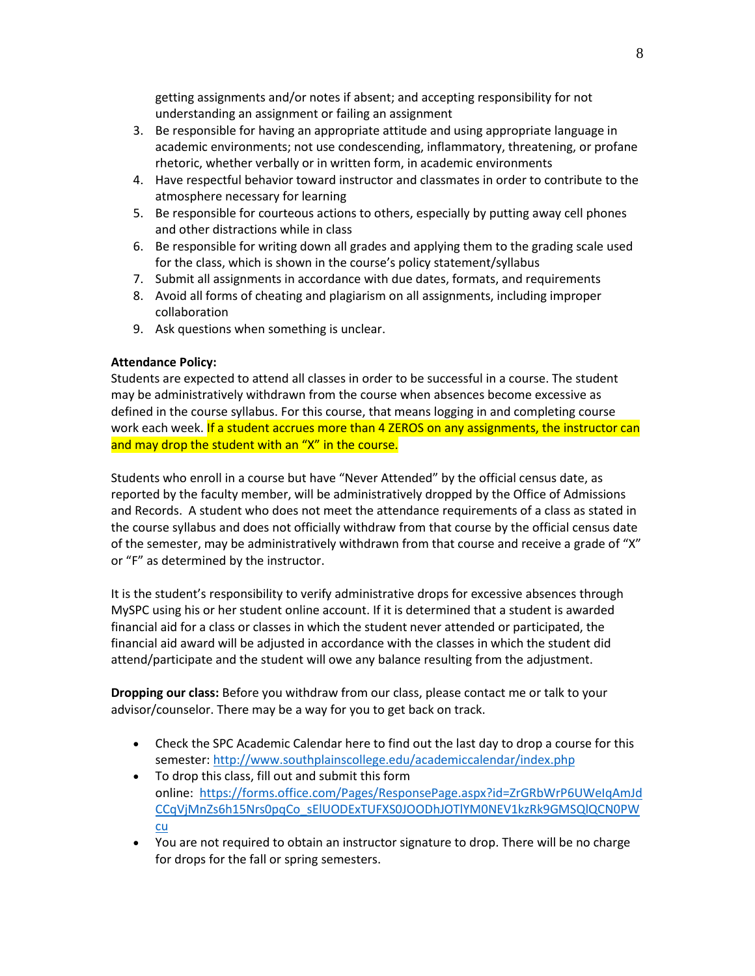getting assignments and/or notes if absent; and accepting responsibility for not understanding an assignment or failing an assignment

- 3. Be responsible for having an appropriate attitude and using appropriate language in academic environments; not use condescending, inflammatory, threatening, or profane rhetoric, whether verbally or in written form, in academic environments
- 4. Have respectful behavior toward instructor and classmates in order to contribute to the atmosphere necessary for learning
- 5. Be responsible for courteous actions to others, especially by putting away cell phones and other distractions while in class
- 6. Be responsible for writing down all grades and applying them to the grading scale used for the class, which is shown in the course's policy statement/syllabus
- 7. Submit all assignments in accordance with due dates, formats, and requirements
- 8. Avoid all forms of cheating and plagiarism on all assignments, including improper collaboration
- 9. Ask questions when something is unclear.

## **Attendance Policy:**

Students are expected to attend all classes in order to be successful in a course. The student may be administratively withdrawn from the course when absences become excessive as defined in the course syllabus. For this course, that means logging in and completing course work each week. If a student accrues more than 4 ZEROS on any assignments, the instructor can and may drop the student with an "X" in the course.

Students who enroll in a course but have "Never Attended" by the official census date, as reported by the faculty member, will be administratively dropped by the Office of Admissions and Records. A student who does not meet the attendance requirements of a class as stated in the course syllabus and does not officially withdraw from that course by the official census date of the semester, may be administratively withdrawn from that course and receive a grade of "X" or "F" as determined by the instructor.

It is the student's responsibility to verify administrative drops for excessive absences through MySPC using his or her student online account. If it is determined that a student is awarded financial aid for a class or classes in which the student never attended or participated, the financial aid award will be adjusted in accordance with the classes in which the student did attend/participate and the student will owe any balance resulting from the adjustment.

**Dropping our class:** Before you withdraw from our class, please contact me or talk to your advisor/counselor. There may be a way for you to get back on track.

- Check the SPC Academic Calendar here to find out the last day to drop a course for this semester:<http://www.southplainscollege.edu/academiccalendar/index.php>
- To drop this class, fill out and submit this form online: [https://forms.office.com/Pages/ResponsePage.aspx?id=ZrGRbWrP6UWeIqAmJd](https://forms.office.com/Pages/ResponsePage.aspx?id=ZrGRbWrP6UWeIqAmJdCCqVjMnZs6h15Nrs0pqCo_sElUODExTUFXS0JOODhJOTlYM0NEV1kzRk9GMSQlQCN0PWcu) [CCqVjMnZs6h15Nrs0pqCo\\_sElUODExTUFXS0JOODhJOTlYM0NEV1kzRk9GMSQlQCN0PW](https://forms.office.com/Pages/ResponsePage.aspx?id=ZrGRbWrP6UWeIqAmJdCCqVjMnZs6h15Nrs0pqCo_sElUODExTUFXS0JOODhJOTlYM0NEV1kzRk9GMSQlQCN0PWcu) [cu](https://forms.office.com/Pages/ResponsePage.aspx?id=ZrGRbWrP6UWeIqAmJdCCqVjMnZs6h15Nrs0pqCo_sElUODExTUFXS0JOODhJOTlYM0NEV1kzRk9GMSQlQCN0PWcu)
- You are not required to obtain an instructor signature to drop. There will be no charge for drops for the fall or spring semesters.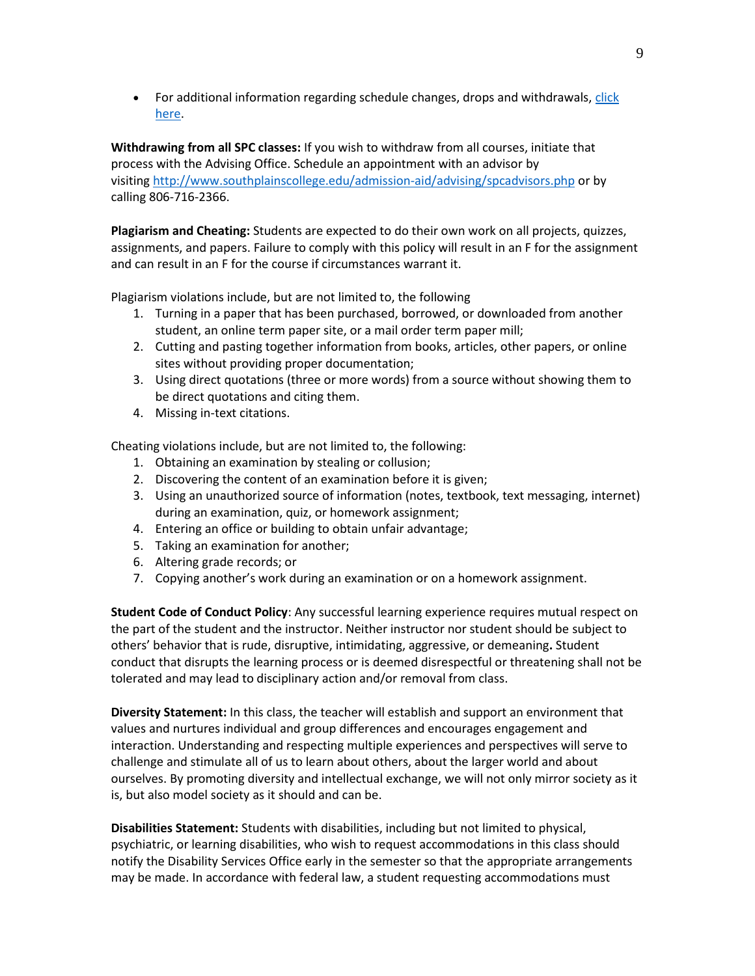• For additional information regarding schedule changes, drops and withdrawals, click [here.](http://www.southplainscollege.edu/admission-aid/apply/schedulechanges.php)

**Withdrawing from all SPC classes:** If you wish to withdraw from all courses, initiate that process with the Advising Office. Schedule an appointment with an advisor by visiting <http://www.southplainscollege.edu/admission-aid/advising/spcadvisors.php> or by calling 806-716-2366.

**Plagiarism and Cheating:** Students are expected to do their own work on all projects, quizzes, assignments, and papers. Failure to comply with this policy will result in an F for the assignment and can result in an F for the course if circumstances warrant it.

Plagiarism violations include, but are not limited to, the following

- 1. Turning in a paper that has been purchased, borrowed, or downloaded from another student, an online term paper site, or a mail order term paper mill;
- 2. Cutting and pasting together information from books, articles, other papers, or online sites without providing proper documentation;
- 3. Using direct quotations (three or more words) from a source without showing them to be direct quotations and citing them.
- 4. Missing in-text citations.

Cheating violations include, but are not limited to, the following:

- 1. Obtaining an examination by stealing or collusion;
- 2. Discovering the content of an examination before it is given;
- 3. Using an unauthorized source of information (notes, textbook, text messaging, internet) during an examination, quiz, or homework assignment;
- 4. Entering an office or building to obtain unfair advantage;
- 5. Taking an examination for another;
- 6. Altering grade records; or
- 7. Copying another's work during an examination or on a homework assignment.

**Student Code of Conduct Policy**: Any successful learning experience requires mutual respect on the part of the student and the instructor. Neither instructor nor student should be subject to others' behavior that is rude, disruptive, intimidating, aggressive, or demeaning**.** Student conduct that disrupts the learning process or is deemed disrespectful or threatening shall not be tolerated and may lead to disciplinary action and/or removal from class.

**Diversity Statement:** In this class, the teacher will establish and support an environment that values and nurtures individual and group differences and encourages engagement and interaction. Understanding and respecting multiple experiences and perspectives will serve to challenge and stimulate all of us to learn about others, about the larger world and about ourselves. By promoting diversity and intellectual exchange, we will not only mirror society as it is, but also model society as it should and can be.

**Disabilities Statement:** Students with disabilities, including but not limited to physical, psychiatric, or learning disabilities, who wish to request accommodations in this class should notify the Disability Services Office early in the semester so that the appropriate arrangements may be made. In accordance with federal law, a student requesting accommodations must